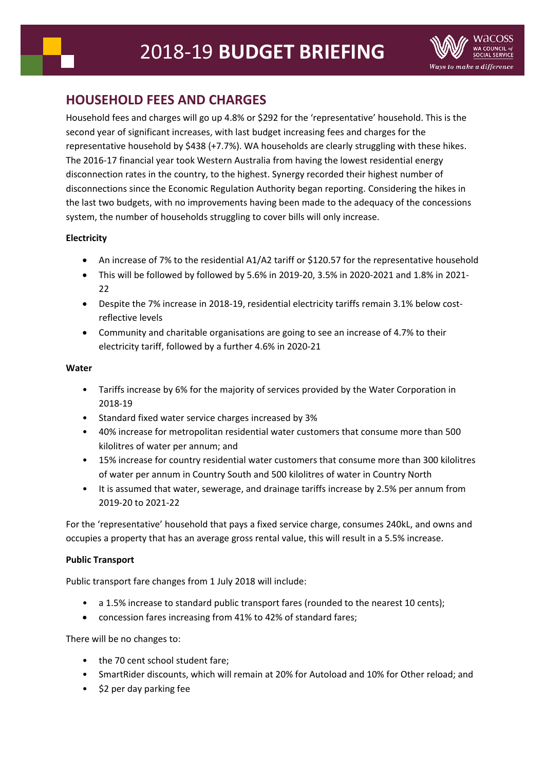

# **HOUSEHOLD FEES AND CHARGES**

Household fees and charges will go up 4.8% or \$292 for the 'representative' household. This is the second year of significant increases, with last budget increasing fees and charges for the representative household by \$438 (+7.7%). WA households are clearly struggling with these hikes. The 2016-17 financial year took Western Australia from having the lowest residential energy disconnection rates in the country, to the highest. Synergy recorded their highest number of disconnections since the Economic Regulation Authority began reporting. Considering the hikes in the last two budgets, with no improvements having been made to the adequacy of the concessions system, the number of households struggling to cover bills will only increase.

# **Electricity**

- An increase of 7% to the residential A1/A2 tariff or \$120.57 for the representative household
- This will be followed by followed by 5.6% in 2019-20, 3.5% in 2020-2021 and 1.8% in 2021- 22
- Despite the 7% increase in 2018-19, residential electricity tariffs remain 3.1% below costreflective levels
- Community and charitable organisations are going to see an increase of 4.7% to their electricity tariff, followed by a further 4.6% in 2020-21

### **Water**

- Tariffs increase by 6% for the majority of services provided by the Water Corporation in 2018-19
- Standard fixed water service charges increased by 3%
- 40% increase for metropolitan residential water customers that consume more than 500 kilolitres of water per annum; and
- 15% increase for country residential water customers that consume more than 300 kilolitres of water per annum in Country South and 500 kilolitres of water in Country North
- It is assumed that water, sewerage, and drainage tariffs increase by 2.5% per annum from 2019-20 to 2021-22

For the 'representative' household that pays a fixed service charge, consumes 240kL, and owns and occupies a property that has an average gross rental value, this will result in a 5.5% increase.

## **Public Transport**

Public transport fare changes from 1 July 2018 will include:

- a 1.5% increase to standard public transport fares (rounded to the nearest 10 cents);
- concession fares increasing from 41% to 42% of standard fares;

There will be no changes to:

- the 70 cent school student fare:
- SmartRider discounts, which will remain at 20% for Autoload and 10% for Other reload; and
- \$2 per day parking fee